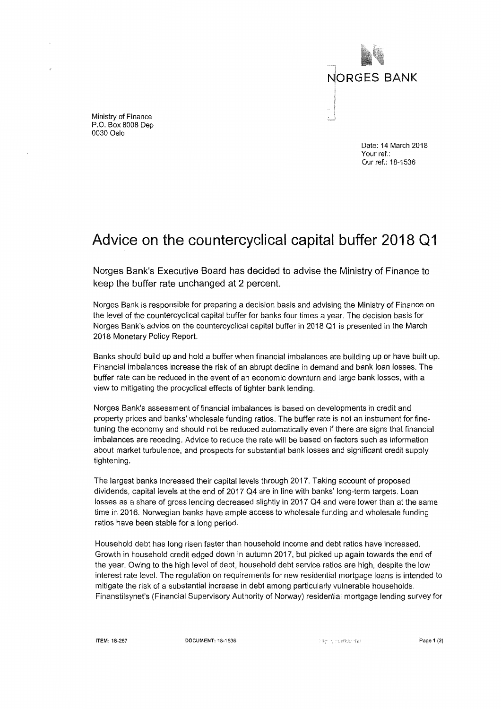

Ministry of Finance P.0. Box 8008 Dep 0030 Oslo

> Date: 14 March 2018 Your ref.: Our ref.: 18-1536

## Advice on the countercyclical capital buffer **2018** Q1

Norges Bank's Executive Baard has decided to advise the Ministry of Finance to keep the buffer rate unchanged at 2 percent.

Norges Bank is responsible for preparing a decision basis and advising the Ministry of Finance on the level of the countercyclical capital buffer for banks four times a year. The decision basis for Norges Bank's advice on the countercyclical capital buffer in 2018 Q1 is presented in the March 2018 Monetary Policy Report.

Banks should build up and hold a buffer when financial imbalances are building up or have built up. Financial imbalances increase the risk of an abrupt decline in demand and bank loan losses. The buffer rate can be reduced in the event of an economic downturn and large bank losses, with a view to mitigating the procyclical effects of tighter bank lending.

Norges Bank's assessment of financial imbalances is based on developments in credit and property prices and banks' wholesale funding ratios. The buffer rate is not an instrument for finetuning the economy and should not be reduced automatically even if there are signs that financial imbalances are receding. Advice to reduce the rate will be based on factors such as information about market turbulence, and prospects for substantial bank losses and significant credit supply tightening.

The largest banks increased their capital levels through 2017. Taking account of proposed dividends, capital levels at the end of 2017 04 are in line with banks' long-term targets. Loan losses as a share of gross lending decreased slightly in 2017 Q4 and were lower than at the same time in 2016. Norwegian banks have ample access to wholesale funding and wholesale funding ratios have been stable for a long period.

Household debt has lang risen faster than household income and debt ratios have increased. Growth in household credit edged down in autumn 2017, but picked up again towards the end of the year. Owing to the high level of debt, household debt service ratios are high, despite the low interest rate leve!. The regulation on requirements for new residential mortgage loans is intended to mitigate the risk of a substantial increase in debt among particularly vulnerable households. Finanstilsynet's (Financial Supervisory Authority of Norway) residential mortgage lending survey for

ITEM: 18-267 **DOCUMENT: 18-1536 Page 1 (2) Page 1 (2) Page 1 (2)**